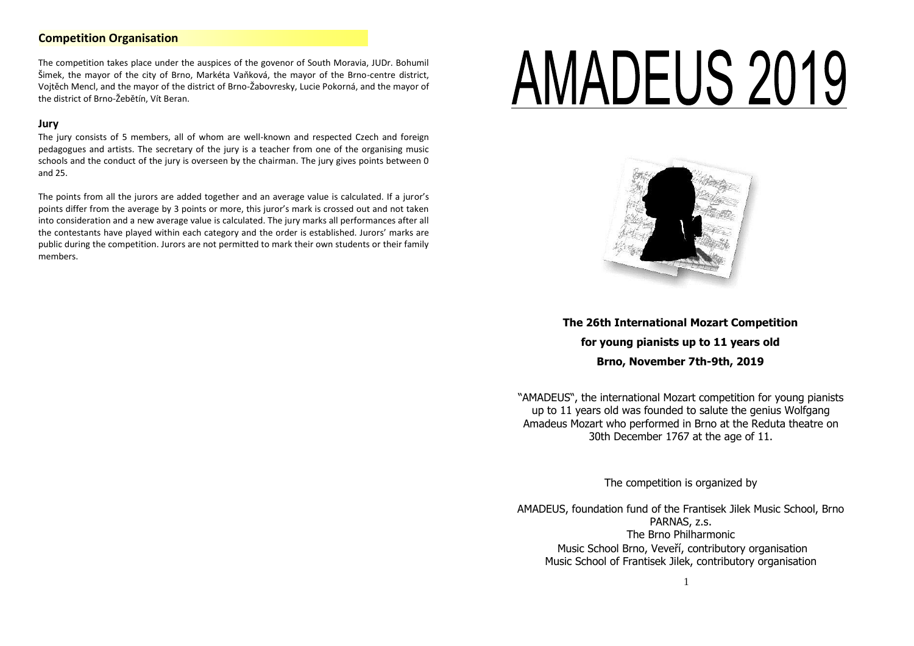# **Competition Organisation**

The competition takes place under the auspices of the govenor of South Moravia, JUDr. Bohumil Šimek, the mayor of the city of Brno, Markéta Vaňková, the mayor of the Brno-centre district, Vojtěch Mencl, and the mayor of the district of Brno-Žabovresky, Lucie Pokorná, and the mayor of the district of Brno-Žebětín, Vít Beran.

# **Jury**

The jury consists of 5 members, all of whom are well-known and respected Czech and foreign pedagogues and artists. The secretary of the jury is a teacher from one of the organising music schools and the conduct of the jury is overseen by the chairman. The jury gives points between 0 and 25.

The points from all the jurors are added together and an average value is calculated. If a juror's points differ from the average by 3 points or more, this juror's mark is crossed out and not taken into consideration and a new average value is calculated. The jury marks all performances after all the contestants have played within each category and the order is established. Jurors' marks are public during the competition. Jurors are not permitted to mark their own students or their family members.

# <u>AMADEUS 2019</u>



**The 26th International Mozart Competition for young pianists up to 11 years old Brno, November 7th-9th, 2019**

"AMADEUS", the international Mozart competition for young pianists up to 11 years old was founded to salute the genius Wolfgang Amadeus Mozart who performed in Brno at the Reduta theatre on 30th December 1767 at the age of 11.

The competition is organized by

AMADEUS, foundation fund of the Frantisek Jilek Music School, Brno PARNAS, z.s. The Brno Philharmonic Music School Brno, Veveří, contributory organisation Music School of Frantisek Jilek, contributory organisation